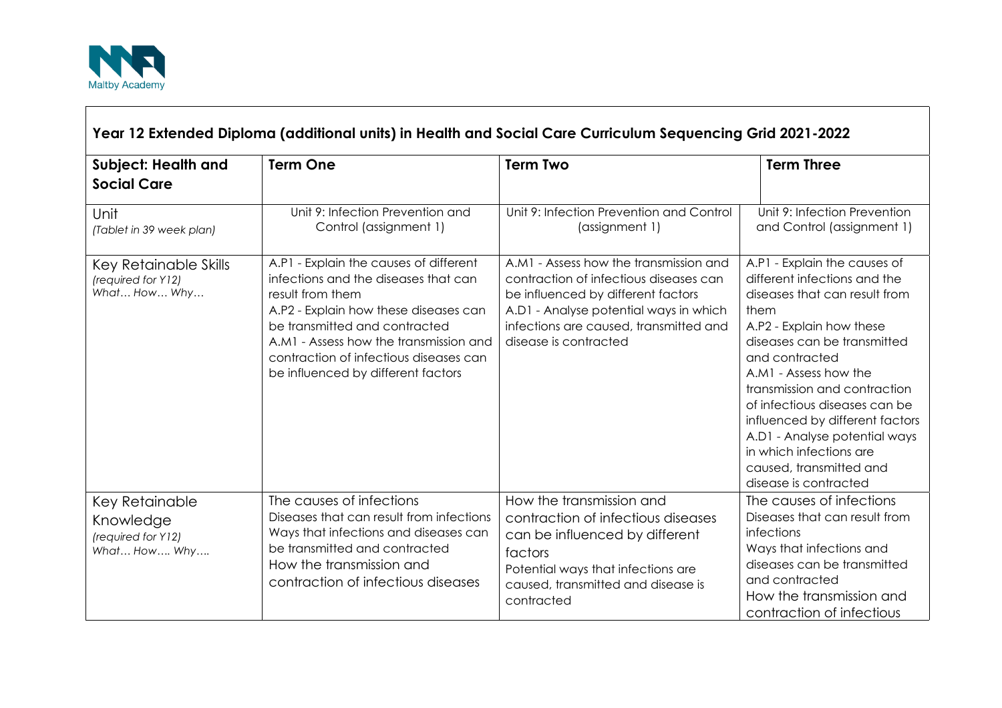

| Year 12 Extended Diploma (additional units) in Health and Social Care Curriculum Sequencing Grid 2021-2022 |                                                                                                                                                                                                                                                                                                        |                                                                                                                                                                                                                                     |                                                                                                                                                                                                                                                                                                                                                                                                                                 |  |
|------------------------------------------------------------------------------------------------------------|--------------------------------------------------------------------------------------------------------------------------------------------------------------------------------------------------------------------------------------------------------------------------------------------------------|-------------------------------------------------------------------------------------------------------------------------------------------------------------------------------------------------------------------------------------|---------------------------------------------------------------------------------------------------------------------------------------------------------------------------------------------------------------------------------------------------------------------------------------------------------------------------------------------------------------------------------------------------------------------------------|--|
| Subject: Health and<br><b>Social Care</b>                                                                  | <b>Term One</b>                                                                                                                                                                                                                                                                                        | <b>Term Two</b>                                                                                                                                                                                                                     | <b>Term Three</b>                                                                                                                                                                                                                                                                                                                                                                                                               |  |
| Unit<br>(Tablet in 39 week plan)                                                                           | Unit 9: Infection Prevention and<br>Control (assignment 1)                                                                                                                                                                                                                                             | Unit 9: Infection Prevention and Control<br>(assignment 1)                                                                                                                                                                          | Unit 9: Infection Prevention<br>and Control (assignment 1)                                                                                                                                                                                                                                                                                                                                                                      |  |
| Key Retainable Skills<br>(required for Y12)<br>What How Why                                                | A.P1 - Explain the causes of different<br>infections and the diseases that can<br>result from them<br>A.P2 - Explain how these diseases can<br>be transmitted and contracted<br>A.M1 - Assess how the transmission and<br>contraction of infectious diseases can<br>be influenced by different factors | A.M1 - Assess how the transmission and<br>contraction of infectious diseases can<br>be influenced by different factors<br>A.D1 - Analyse potential ways in which<br>infections are caused, transmitted and<br>disease is contracted | A.P1 - Explain the causes of<br>different infections and the<br>diseases that can result from<br>them<br>A.P2 - Explain how these<br>diseases can be transmitted<br>and contracted<br>A.M1 - Assess how the<br>transmission and contraction<br>of infectious diseases can be<br>influenced by different factors<br>A.D1 - Analyse potential ways<br>in which infections are<br>caused, transmitted and<br>disease is contracted |  |
| Key Retainable<br>Knowledge<br>(required for Y12)<br>What How Why                                          | The causes of infections<br>Diseases that can result from infections<br>Ways that infections and diseases can<br>be transmitted and contracted<br>How the transmission and<br>contraction of infectious diseases                                                                                       | How the transmission and<br>contraction of infectious diseases<br>can be influenced by different<br>factors<br>Potential ways that infections are<br>caused, transmitted and disease is<br>contracted                               | The causes of infections<br>Diseases that can result from<br>infections<br>Ways that infections and<br>diseases can be transmitted<br>and contracted<br>How the transmission and<br>contraction of infectious                                                                                                                                                                                                                   |  |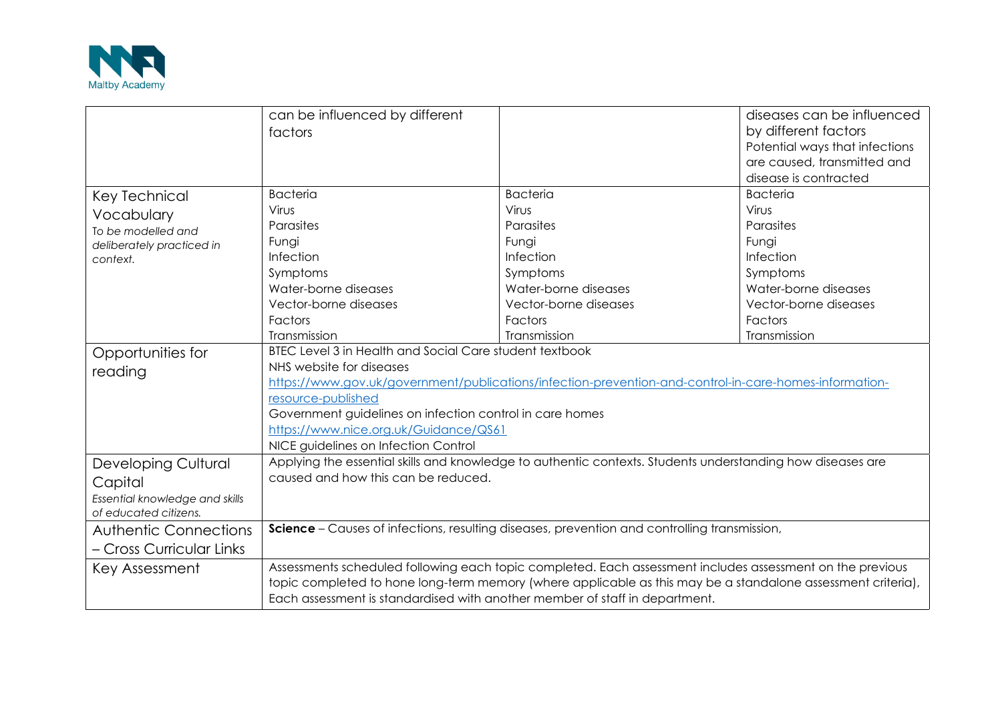

|                                                                                                  | can be influenced by different<br>factors                                                                                                                                                                                                                                                                                                                                                                        |                                                                                                                                     | diseases can be influenced<br>by different factors<br>Potential ways that infections<br>are caused, transmitted and<br>disease is contracted |
|--------------------------------------------------------------------------------------------------|------------------------------------------------------------------------------------------------------------------------------------------------------------------------------------------------------------------------------------------------------------------------------------------------------------------------------------------------------------------------------------------------------------------|-------------------------------------------------------------------------------------------------------------------------------------|----------------------------------------------------------------------------------------------------------------------------------------------|
| Key Technical<br>Vocabulary<br>To be modelled and<br>deliberately practiced in<br>context.       | <b>Bacteria</b><br>Virus<br>Parasites<br>Fungi<br>Infection<br>Symptoms<br>Water-borne diseases<br>Vector-borne diseases<br>Factors                                                                                                                                                                                                                                                                              | <b>Bacteria</b><br>Virus<br>Parasites<br>Fungi<br>Infection<br>Symptoms<br>Water-borne diseases<br>Vector-borne diseases<br>Factors | <b>Bacteria</b><br>Virus<br>Parasites<br>Fungi<br>Infection<br>Symptoms<br>Water-borne diseases<br>Vector-borne diseases<br>Factors          |
| Opportunities for<br>reading                                                                     | Transmission<br>Transmission<br>Transmission<br>BTEC Level 3 in Health and Social Care student textbook<br>NHS website for diseases<br>https://www.gov.uk/government/publications/infection-prevention-and-control-in-care-homes-information-<br>resource-published<br>Government guidelines on infection control in care homes<br>https://www.nice.org.uk/Guidance/QS61<br>NICE guidelines on Infection Control |                                                                                                                                     |                                                                                                                                              |
| <b>Developing Cultural</b><br>Capital<br>Essential knowledge and skills<br>of educated citizens. | Applying the essential skills and knowledge to authentic contexts. Students understanding how diseases are<br>caused and how this can be reduced.                                                                                                                                                                                                                                                                |                                                                                                                                     |                                                                                                                                              |
| <b>Authentic Connections</b><br>- Cross Curricular Links                                         | <b>Science</b> – Causes of infections, resulting diseases, prevention and controlling transmission,                                                                                                                                                                                                                                                                                                              |                                                                                                                                     |                                                                                                                                              |
| Key Assessment                                                                                   | Assessments scheduled following each topic completed. Each assessment includes assessment on the previous<br>topic completed to hone long-term memory (where applicable as this may be a standalone assessment criteria),<br>Each assessment is standardised with another member of staff in department.                                                                                                         |                                                                                                                                     |                                                                                                                                              |